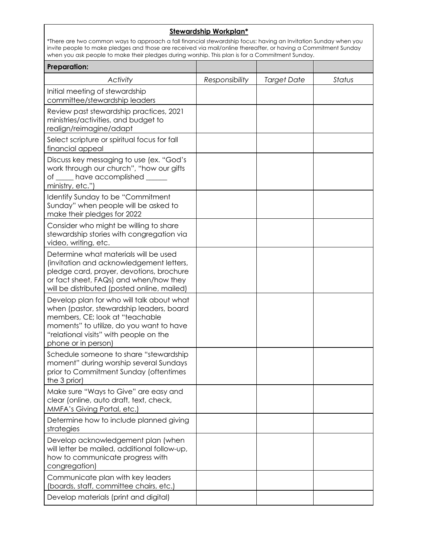## **Stewardship Workplan\***

\*There are two common ways to approach a fall financial stewardship focus: having an Invitation Sunday when you invite people to make pledges and those are received via mail/online thereafter, or having a Commitment Sunday when you ask people to make their pledges during worship. This plan is for a Commitment Sunday.

| <b>Preparation:</b>                                                                                                                                                                                                                   |                |                    |        |
|---------------------------------------------------------------------------------------------------------------------------------------------------------------------------------------------------------------------------------------|----------------|--------------------|--------|
| Activity                                                                                                                                                                                                                              | Responsibility | <b>Target Date</b> | Status |
| Initial meeting of stewardship<br>committee/stewardship leaders                                                                                                                                                                       |                |                    |        |
| Review past stewardship practices, 2021<br>ministries/activities, and budget to<br>realign/reimagine/adapt                                                                                                                            |                |                    |        |
| Select scripture or spiritual focus for fall<br>financial appeal                                                                                                                                                                      |                |                    |        |
| Discuss key messaging to use (ex. "God's<br>work through our church", "how our gifts<br>of _____ have accomplished ______<br>ministry, etc.")                                                                                         |                |                    |        |
| Identify Sunday to be "Commitment<br>Sunday" when people will be asked to<br>make their pledges for 2022                                                                                                                              |                |                    |        |
| Consider who might be willing to share<br>stewardship stories with congregation via<br>video, writing, etc.                                                                                                                           |                |                    |        |
| Determine what materials will be used<br>(invitation and acknowledgement letters,<br>pledge card, prayer, devotions, brochure<br>or fact sheet, FAQs) and when/how they<br>will be distributed (posted online, mailed)                |                |                    |        |
| Develop plan for who will talk about what<br>when (pastor, stewardship leaders, board<br>members, CE; look at "teachable<br>moments" to utilize, do you want to have<br>"relational visits" with people on the<br>phone or in person) |                |                    |        |
| Schedule someone to share "stewardship<br>moment" during worship several Sundays<br>prior to Commitment Sunday (oftentimes<br>the 3 prior)                                                                                            |                |                    |        |
| Make sure "Ways to Give" are easy and<br>clear (online, auto draft, text, check,<br>MMFA's Giving Portal, etc.)                                                                                                                       |                |                    |        |
| Determine how to include planned giving<br>strategies                                                                                                                                                                                 |                |                    |        |
| Develop acknowledgement plan (when<br>will letter be mailed, additional follow-up,<br>how to communicate progress with<br>congregation)                                                                                               |                |                    |        |
| Communicate plan with key leaders<br>(boards, staff, committee chairs, etc.)                                                                                                                                                          |                |                    |        |
| Develop materials (print and digital)                                                                                                                                                                                                 |                |                    |        |